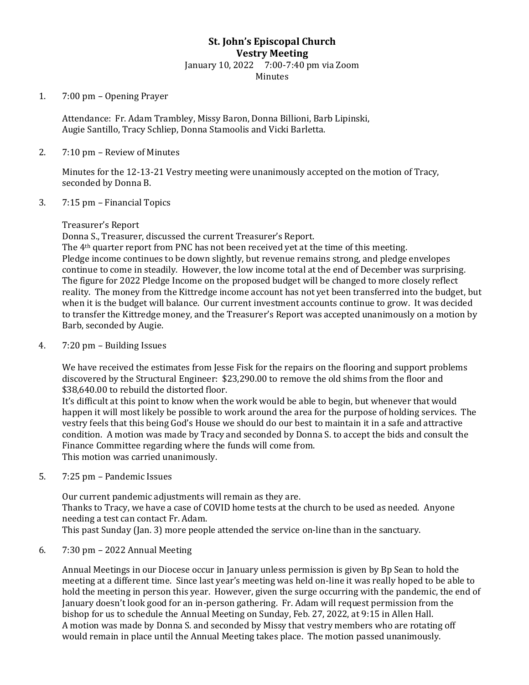## **St. John's Episcopal Church Vestry Meeting** January 10, 2022 7:00-7:40 pm via Zoom

Minutes

1. 7:00 pm – Opening Prayer

Attendance: Fr. Adam Trambley, Missy Baron, Donna Billioni, Barb Lipinski, Augie Santillo, Tracy Schliep, Donna Stamoolis and Vicki Barletta.

2. 7:10 pm – Review of Minutes

Minutes for the 12-13-21 Vestry meeting were unanimously accepted on the motion of Tracy, seconded by Donna B.

3. 7:15 pm – Financial Topics

## Treasurer's Report

Donna S., Treasurer, discussed the current Treasurer's Report.

The 4th quarter report from PNC has not been received yet at the time of this meeting. Pledge income continues to be down slightly, but revenue remains strong, and pledge envelopes continue to come in steadily. However, the low income total at the end of December was surprising. The figure for 2022 Pledge Income on the proposed budget will be changed to more closely reflect reality. The money from the Kittredge income account has not yet been transferred into the budget, but when it is the budget will balance. Our current investment accounts continue to grow. It was decided to transfer the Kittredge money, and the Treasurer's Report was accepted unanimously on a motion by Barb, seconded by Augie.

4. 7:20 pm – Building Issues

We have received the estimates from Jesse Fisk for the repairs on the flooring and support problems discovered by the Structural Engineer: \$23,290.00 to remove the old shims from the floor and \$38,640.00 to rebuild the distorted floor.

It's difficult at this point to know when the work would be able to begin, but whenever that would happen it will most likely be possible to work around the area for the purpose of holding services. The vestry feels that this being God's House we should do our best to maintain it in a safe and attractive condition. A motion was made by Tracy and seconded by Donna S. to accept the bids and consult the Finance Committee regarding where the funds will come from. This motion was carried unanimously.

5. 7:25 pm – Pandemic Issues

Our current pandemic adjustments will remain as they are. Thanks to Tracy, we have a case of COVID home tests at the church to be used as needed. Anyone needing a test can contact Fr. Adam. This past Sunday (Jan. 3) more people attended the service on-line than in the sanctuary.

6. 7:30 pm – 2022 Annual Meeting

Annual Meetings in our Diocese occur in January unless permission is given by Bp Sean to hold the meeting at a different time. Since last year's meeting was held on-line it was really hoped to be able to hold the meeting in person this year. However, given the surge occurring with the pandemic, the end of January doesn't look good for an in-person gathering. Fr. Adam will request permission from the bishop for us to schedule the Annual Meeting on Sunday, Feb. 27, 2022, at 9:15 in Allen Hall. A motion was made by Donna S. and seconded by Missy that vestry members who are rotating off would remain in place until the Annual Meeting takes place. The motion passed unanimously.